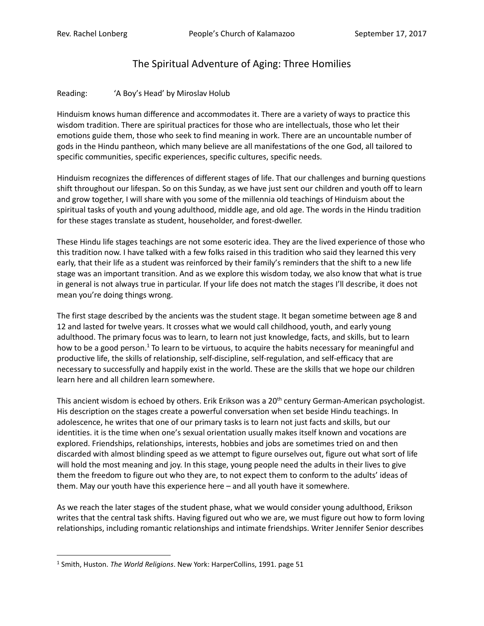## The Spiritual Adventure of Aging: Three Homilies

## Reading: 'A Boy's Head' by Miroslav Holub

Hinduism knows human difference and accommodates it. There are a variety of ways to practice this wisdom tradition. There are spiritual practices for those who are intellectuals, those who let their emotions guide them, those who seek to find meaning in work. There are an uncountable number of gods in the Hindu pantheon, which many believe are all manifestations of the one God, all tailored to specific communities, specific experiences, specific cultures, specific needs.

Hinduism recognizes the differences of different stages of life. That our challenges and burning questions shift throughout our lifespan. So on this Sunday, as we have just sent our children and youth off to learn and grow together, I will share with you some of the millennia old teachings of Hinduism about the spiritual tasks of youth and young adulthood, middle age, and old age. The words in the Hindu tradition for these stages translate as student, householder, and forest-dweller.

These Hindu life stages teachings are not some esoteric idea. They are the lived experience of those who this tradition now. I have talked with a few folks raised in this tradition who said they learned this very early, that their life as a student was reinforced by their family's reminders that the shift to a new life stage was an important transition. And as we explore this wisdom today, we also know that what is true in general is not always true in particular. If your life does not match the stages I'll describe, it does not mean you're doing things wrong.

The first stage described by the ancients was the student stage. It began sometime between age 8 and 12 and lasted for twelve years. It crosses what we would call childhood, youth, and early young adulthood. The primary focus was to learn, to learn not just knowledge, facts, and skills, but to learn how to be a good person.<sup>1</sup> To learn to be virtuous, to acquire the habits necessary for meaningful and productive life, the skills of relationship, self-discipline, self-regulation, and self-efficacy that are necessary to successfully and happily exist in the world. These are the skills that we hope our children learn here and all children learn somewhere.

This ancient wisdom is echoed by others. Erik Erikson was a 20<sup>th</sup> century German-American psychologist. His description on the stages create a powerful conversation when set beside Hindu teachings. In adolescence, he writes that one of our primary tasks is to learn not just facts and skills, but our identities. it is the time when one's sexual orientation usually makes itself known and vocations are explored. Friendships, relationships, interests, hobbies and jobs are sometimes tried on and then discarded with almost blinding speed as we attempt to figure ourselves out, figure out what sort of life will hold the most meaning and joy. In this stage, young people need the adults in their lives to give them the freedom to figure out who they are, to not expect them to conform to the adults' ideas of them. May our youth have this experience here – and all youth have it somewhere.

As we reach the later stages of the student phase, what we would consider young adulthood, Erikson writes that the central task shifts. Having figured out who we are, we must figure out how to form loving relationships, including romantic relationships and intimate friendships. Writer Jennifer Senior describes

 $\overline{\phantom{a}}$ 

<sup>1</sup> Smith, Huston. *The World Religions*. New York: HarperCollins, 1991. page 51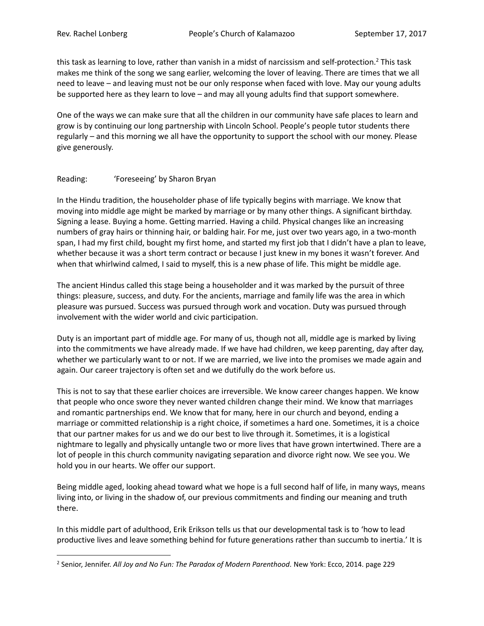$\overline{\phantom{a}}$ 

this task as learning to love, rather than vanish in a midst of narcissism and self-protection.<sup>2</sup> This task makes me think of the song we sang earlier, welcoming the lover of leaving. There are times that we all need to leave – and leaving must not be our only response when faced with love. May our young adults be supported here as they learn to love – and may all young adults find that support somewhere.

One of the ways we can make sure that all the children in our community have safe places to learn and grow is by continuing our long partnership with Lincoln School. People's people tutor students there regularly – and this morning we all have the opportunity to support the school with our money. Please give generously.

## Reading: 'Foreseeing' by Sharon Bryan

In the Hindu tradition, the householder phase of life typically begins with marriage. We know that moving into middle age might be marked by marriage or by many other things. A significant birthday. Signing a lease. Buying a home. Getting married. Having a child. Physical changes like an increasing numbers of gray hairs or thinning hair, or balding hair. For me, just over two years ago, in a two-month span, I had my first child, bought my first home, and started my first job that I didn't have a plan to leave, whether because it was a short term contract or because I just knew in my bones it wasn't forever. And when that whirlwind calmed, I said to myself, this is a new phase of life. This might be middle age.

The ancient Hindus called this stage being a householder and it was marked by the pursuit of three things: pleasure, success, and duty. For the ancients, marriage and family life was the area in which pleasure was pursued. Success was pursued through work and vocation. Duty was pursued through involvement with the wider world and civic participation.

Duty is an important part of middle age. For many of us, though not all, middle age is marked by living into the commitments we have already made. If we have had children, we keep parenting, day after day, whether we particularly want to or not. If we are married, we live into the promises we made again and again. Our career trajectory is often set and we dutifully do the work before us.

This is not to say that these earlier choices are irreversible. We know career changes happen. We know that people who once swore they never wanted children change their mind. We know that marriages and romantic partnerships end. We know that for many, here in our church and beyond, ending a marriage or committed relationship is a right choice, if sometimes a hard one. Sometimes, it is a choice that our partner makes for us and we do our best to live through it. Sometimes, it is a logistical nightmare to legally and physically untangle two or more lives that have grown intertwined. There are a lot of people in this church community navigating separation and divorce right now. We see you. We hold you in our hearts. We offer our support.

Being middle aged, looking ahead toward what we hope is a full second half of life, in many ways, means living into, or living in the shadow of, our previous commitments and finding our meaning and truth there.

In this middle part of adulthood, Erik Erikson tells us that our developmental task is to 'how to lead productive lives and leave something behind for future generations rather than succumb to inertia.' It is

<sup>2</sup> Senior, Jennifer. *All Joy and No Fun: The Paradox of Modern Parenthood.* New York: Ecco, 2014. page 229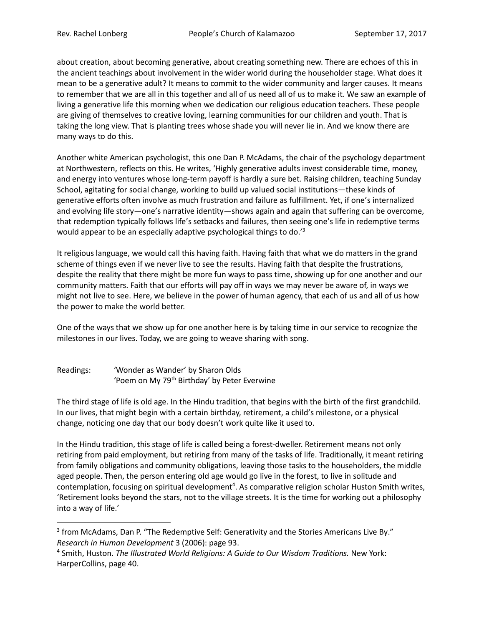l

about creation, about becoming generative, about creating something new. There are echoes of this in the ancient teachings about involvement in the wider world during the householder stage. What does it mean to be a generative adult? It means to commit to the wider community and larger causes. It means to remember that we are all in this together and all of us need all of us to make it. We saw an example of living a generative life this morning when we dedication our religious education teachers. These people are giving of themselves to creative loving, learning communities for our children and youth. That is taking the long view. That is planting trees whose shade you will never lie in. And we know there are many ways to do this.

Another white American psychologist, this one Dan P. McAdams, the chair of the psychology department at Northwestern, reflects on this. He writes, 'Highly generative adults invest considerable time, money, and energy into ventures whose long-term payoff is hardly a sure bet. Raising children, teaching Sunday School, agitating for social change, working to build up valued social institutions—these kinds of generative efforts often involve as much frustration and failure as fulfillment. Yet, if one's internalized and evolving life story—one's narrative identity—shows again and again that suffering can be overcome, that redemption typically follows life's setbacks and failures, then seeing one's life in redemptive terms would appear to be an especially adaptive psychological things to do.<sup>13</sup>

It religious language, we would call this having faith. Having faith that what we do matters in the grand scheme of things even if we never live to see the results. Having faith that despite the frustrations, despite the reality that there might be more fun ways to pass time, showing up for one another and our community matters. Faith that our efforts will pay off in ways we may never be aware of, in ways we might not live to see. Here, we believe in the power of human agency, that each of us and all of us how the power to make the world better.

One of the ways that we show up for one another here is by taking time in our service to recognize the milestones in our lives. Today, we are going to weave sharing with song.

Readings: 'Wonder as Wander' by Sharon Olds 'Poem on My 79<sup>th</sup> Birthday' by Peter Everwine

The third stage of life is old age. In the Hindu tradition, that begins with the birth of the first grandchild. In our lives, that might begin with a certain birthday, retirement, a child's milestone, or a physical change, noticing one day that our body doesn't work quite like it used to.

In the Hindu tradition, this stage of life is called being a forest-dweller. Retirement means not only retiring from paid employment, but retiring from many of the tasks of life. Traditionally, it meant retiring from family obligations and community obligations, leaving those tasks to the householders, the middle aged people. Then, the person entering old age would go live in the forest, to live in solitude and contemplation, focusing on spiritual development<sup>4</sup>. As comparative religion scholar Huston Smith writes, 'Retirement looks beyond the stars, not to the village streets. It is the time for working out a philosophy into a way of life.'

<sup>&</sup>lt;sup>3</sup> from McAdams, Dan P. "The Redemptive Self: Generativity and the Stories Americans Live By." *Research in Human Development* 3 (2006): page 93.

<sup>4</sup> Smith, Huston. *The Illustrated World Religions: A Guide to Our Wisdom Traditions.* New York: HarperCollins, page 40.